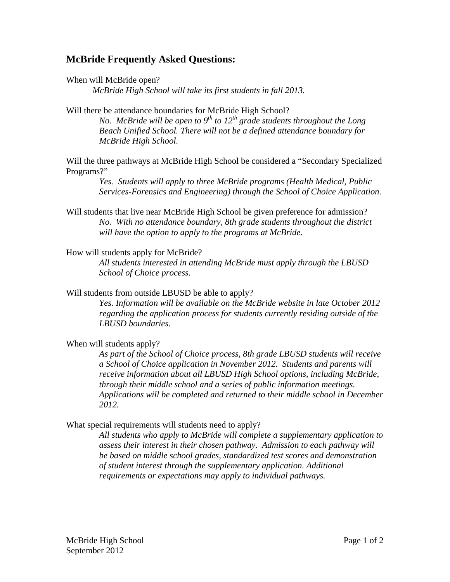## **McBride Frequently Asked Questions:**

When will McBride open?

*McBride High School will take its first students in fall 2013.* 

Will there be attendance boundaries for McBride High School?

*No. McBride will be open to*  $9<sup>th</sup>$  *to*  $12<sup>th</sup>$  *grade students throughout the Long Beach Unified School. There will not be a defined attendance boundary for McBride High School.* 

Will the three pathways at McBride High School be considered a "Secondary Specialized Programs?"

> *Yes. Students will apply to three McBride programs (Health Medical, Public Services-Forensics and Engineering) through the School of Choice Application.*

Will students that live near McBride High School be given preference for admission? *No. With no attendance boundary, 8th grade students throughout the district will have the option to apply to the programs at McBride.* 

How will students apply for McBride?

*All students interested in attending McBride must apply through the LBUSD School of Choice process.* 

Will students from outside LBUSD be able to apply?

*Yes. Information will be available on the McBride website in late October 2012 regarding the application process for students currently residing outside of the LBUSD boundaries.* 

When will students apply?

*As part of the School of Choice process, 8th grade LBUSD students will receive a School of Choice application in November 2012. Students and parents will receive information about all LBUSD High School options, including McBride, through their middle school and a series of public information meetings. Applications will be completed and returned to their middle school in December 2012.* 

What special requirements will students need to apply?

*All students who apply to McBride will complete a supplementary application to assess their interest in their chosen pathway. Admission to each pathway will be based on middle school grades, standardized test scores and demonstration of student interest through the supplementary application. Additional requirements or expectations may apply to individual pathways.*